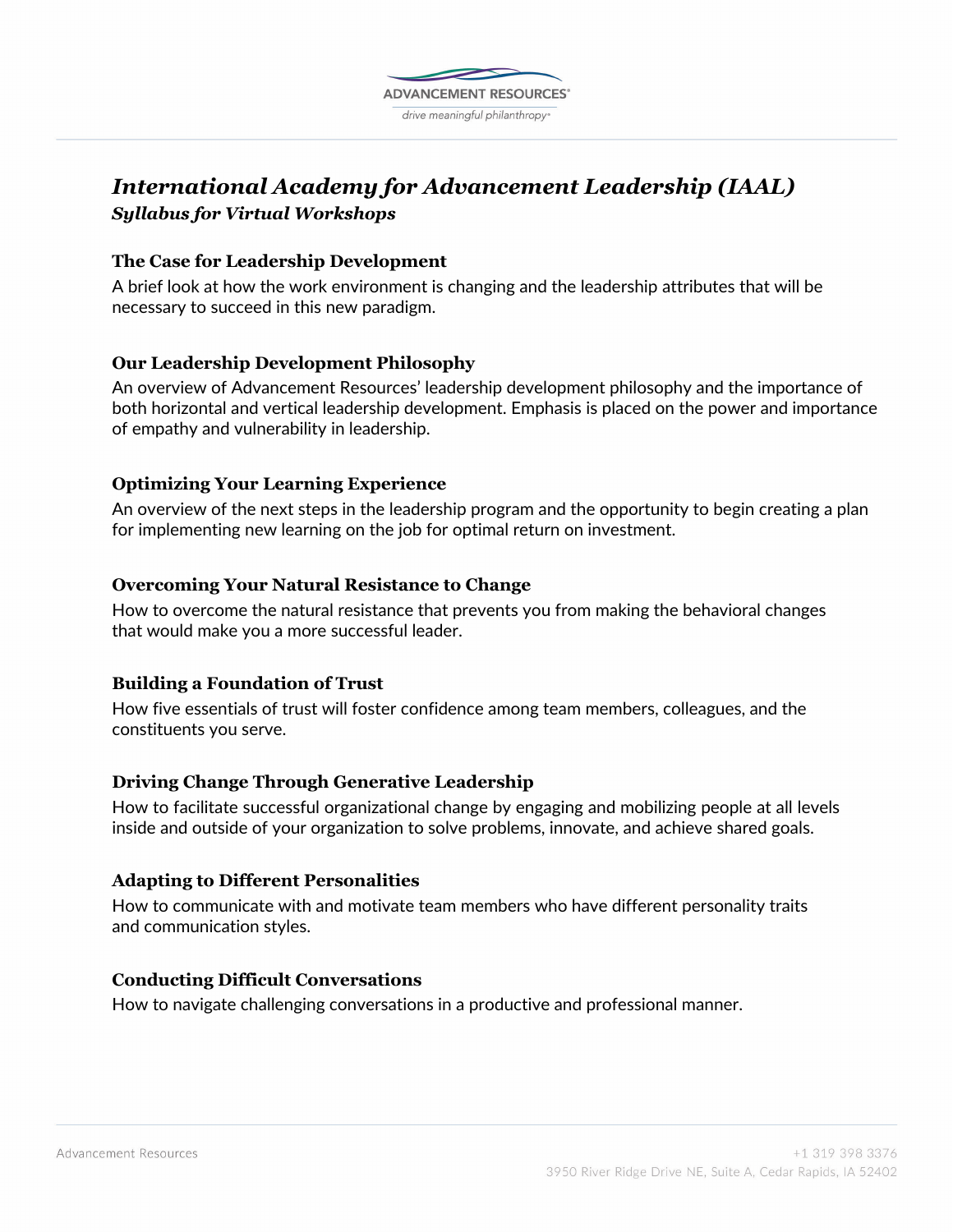

# *International Academy for Advancement Leadership (IAAL) Syllabus for Virtual Workshops*

## **The Case for Leadership Development**

A brief look at how the work environment is changing and the leadership attributes that will be necessary to succeed in this new paradigm.

## **Our Leadership Development Philosophy**

An overview of Advancement Resources' leadership development philosophy and the importance of both horizontal and vertical leadership development. Emphasis is placed on the power and importance of empathy and vulnerability in leadership.

## **Optimizing Your Learning Experience**

An overview of the next steps in the leadership program and the opportunity to begin creating a plan for implementing new learning on the job for optimal return on investment.

#### **Overcoming Your Natural Resistance to Change**

How to overcome the natural resistance that prevents you from making the behavioral changes that would make you a more successful leader.

## **Building a Foundation of Trust**

How five essentials of trust will foster confidence among team members, colleagues, and the constituents you serve.

## **Driving Change Through Generative Leadership**

How to facilitate successful organizational change by engaging and mobilizing people at all levels inside and outside of your organization to solve problems, innovate, and achieve shared goals.

#### **Adapting to Different Personalities**

How to communicate with and motivate team members who have different personality traits and communication styles.

#### **Conducting Difficult Conversations**

How to navigate challenging conversations in a productive and professional manner.